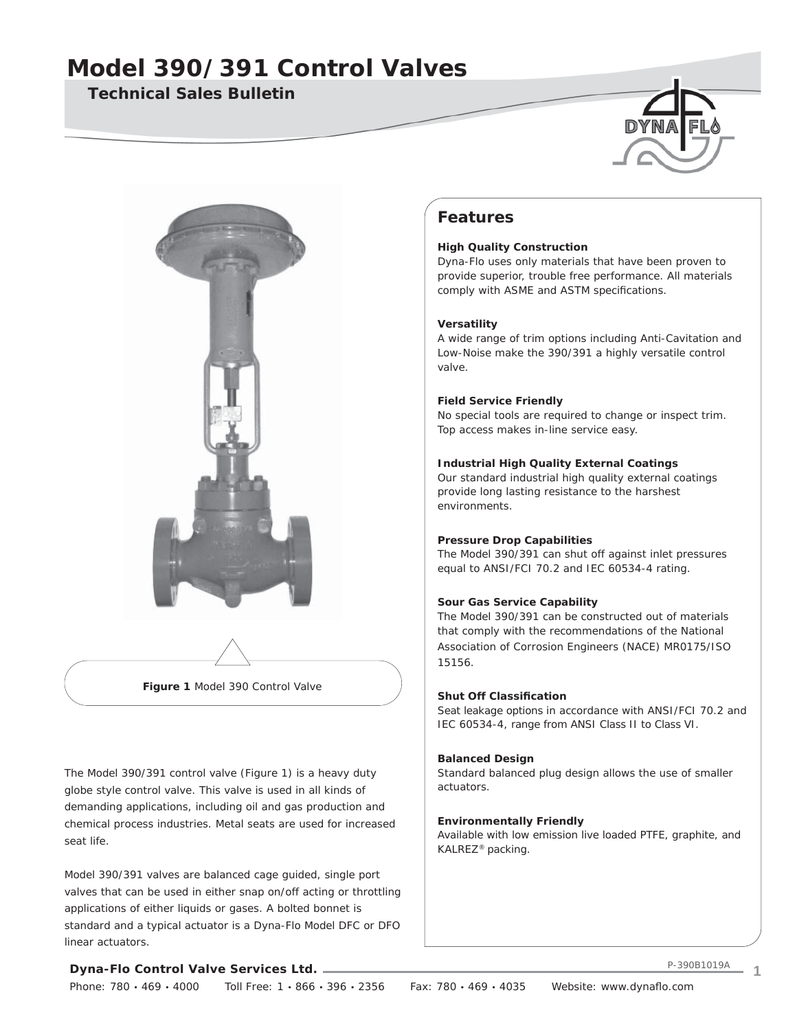## **Technical Sales Bulletin**





**Figure 1** Model 390 Control Valve

The Model 390/391 control valve (Figure 1) is a heavy duty globe style control valve. This valve is used in all kinds of demanding applications, including oil and gas production and chemical process industries. Metal seats are used for increased seat life.

Model 390/391 valves are balanced cage guided, single port valves that can be used in either snap on/off acting or throttling applications of either liquids or gases. A bolted bonnet is standard and a typical actuator is a Dyna-Flo Model DFC or DFO linear actuators.

## **Features**

### **High Quality Construction**

Dyna-Flo uses only materials that have been proven to provide superior, trouble free performance. All materials comply with ASME and ASTM specifications.

#### **Versatility**

A wide range of trim options including Anti-Cavitation and Low-Noise make the 390/391 a highly versatile control valve.

### **Field Service Friendly**

No special tools are required to change or inspect trim. Top access makes in-line service easy.

### **Industrial High Quality External Coatings**

Our standard industrial high quality external coatings provide long lasting resistance to the harshest environments.

#### **Pressure Drop Capabilities**

The Model 390/391 can shut off against inlet pressures equal to ANSI/FCI 70.2 and IEC 60534-4 rating.

### **Sour Gas Service Capability**

The Model 390/391 can be constructed out of materials that comply with the recommendations of the National Association of Corrosion Engineers (NACE) MR0175/ISO 15156.

### **Shut Off Classification**

Seat leakage options in accordance with ANSI/FCI 70.2 and IEC 60534-4, range from ANSI Class II to Class VI.

#### **Balanced Design**

Standard balanced plug design allows the use of smaller actuators.

#### **Environmentally Friendly**

Available with low emission live loaded PTFE, graphite, and KALREZ® packing.

### **Dyna-Flo Control Valve Services Ltd.**

Phone: 780 · 469 · 4000 Toll Free: 1 · 866 · 396 · 2356 Fax: 780 · 469 · 4035 Website: www.dynaflo.com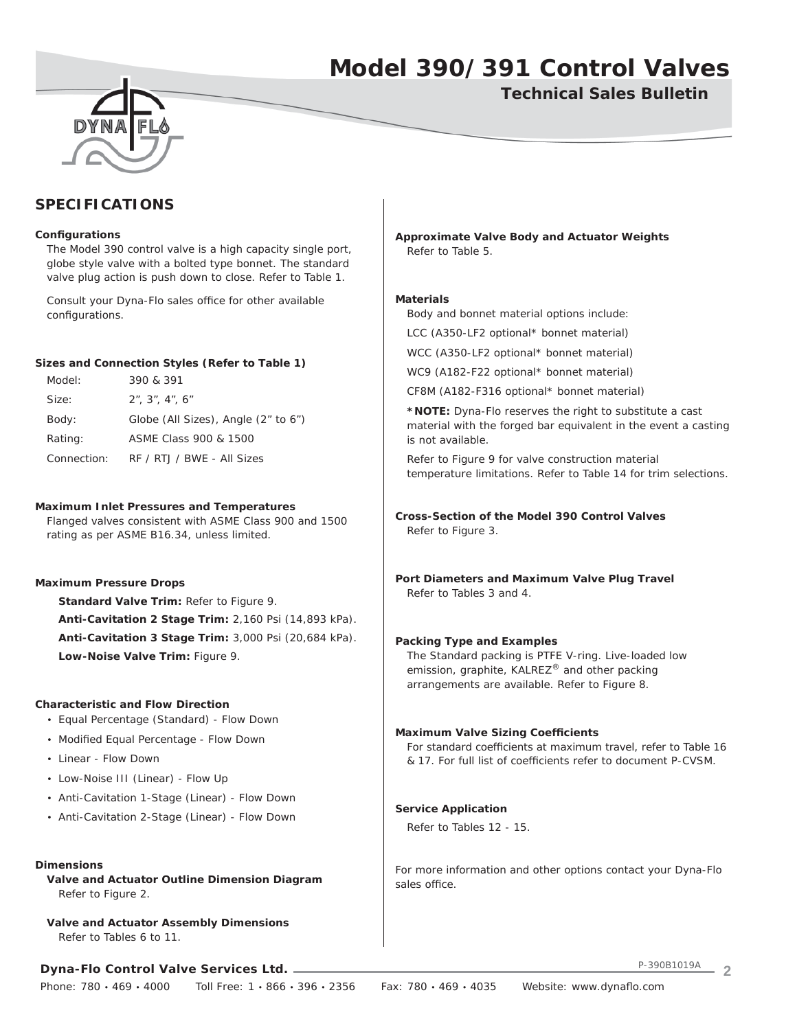**Technical Sales Bulletin**

## **SPECIFICATIONS**

#### **Confi gurations**

 The Model 390 control valve is a high capacity single port, globe style valve with a bolted type bonnet. The standard valve plug action is push down to close. Refer to Table 1.

Consult your Dyna-Flo sales office for other available configurations.

#### **Sizes and Connection Styles (Refer to Table 1)**

| Model:      | 390 & 391                           |
|-------------|-------------------------------------|
| Size:       | $2$ ", $3$ ", $4$ ", $6$ "          |
| Body:       | Globe (All Sizes), Angle (2" to 6") |
| Rating:     | ASME Class 900 & 1500               |
| Connection: | RF / RTJ / BWE - All Sizes          |

#### **Maximum Inlet Pressures and Temperatures**

 Flanged valves consistent with ASME Class 900 and 1500 rating as per ASME B16.34, unless limited.

#### **Maximum Pressure Drops**

 **Standard Valve Trim:** Refer to Figure 9. **Anti-Cavitation 2 Stage Trim:** 2,160 Psi (14,893 kPa). **Anti-Cavitation 3 Stage Trim:** 3,000 Psi (20,684 kPa). **Low-Noise Valve Trim:** Figure 9.

#### **Characteristic and Flow Direction**

- Equal Percentage (Standard) Flow Down
- Modified Equal Percentage Flow Down
- Linear Flow Down
- Low-Noise III (Linear) Flow Up
- Anti-Cavitation 1-Stage (Linear) Flow Down
- Anti-Cavitation 2-Stage (Linear) Flow Down

#### **Dimensions**

 **Valve and Actuator Outline Dimension Diagram** Refer to Figure 2.

**Valve and Actuator Assembly Dimensions** Refer to Tables 6 to 11.

**Dyna-Flo Control Valve Services Ltd.**

**Approximate Valve Body and Actuator Weights** Refer to Table 5.

#### **Materials**

Body and bonnet material options include:

LCC (A350-LF2 optional\* bonnet material)

WCC (A350-LF2 optional\* bonnet material)

WC9 (A182-F22 optional\* bonnet material)

CF8M (A182-F316 optional\* bonnet material)

**\*NOTE:** Dyna-Flo reserves the right to substitute a cast material with the forged bar equivalent in the event a casting is not available.

 Refer to Figure 9 for valve construction material temperature limitations. Refer to Table 14 for trim selections.

**Cross-Section of the Model 390 Control Valves** Refer to Figure 3.

**Port Diameters and Maximum Valve Plug Travel** Refer to Tables 3 and 4.

#### **Packing Type and Examples**

 The Standard packing is PTFE V-ring. Live-loaded low emission, graphite, KALREZ® and other packing arrangements are available. Refer to Figure 8.

#### **Maximum Valve Sizing Coefficients**

For standard coefficients at maximum travel, refer to Table 16 & 17. For full list of coefficients refer to document P-CVSM.

#### **Service Application**

Refer to Tables 12 - 15.

For more information and other options contact your Dyna-Flo sales office.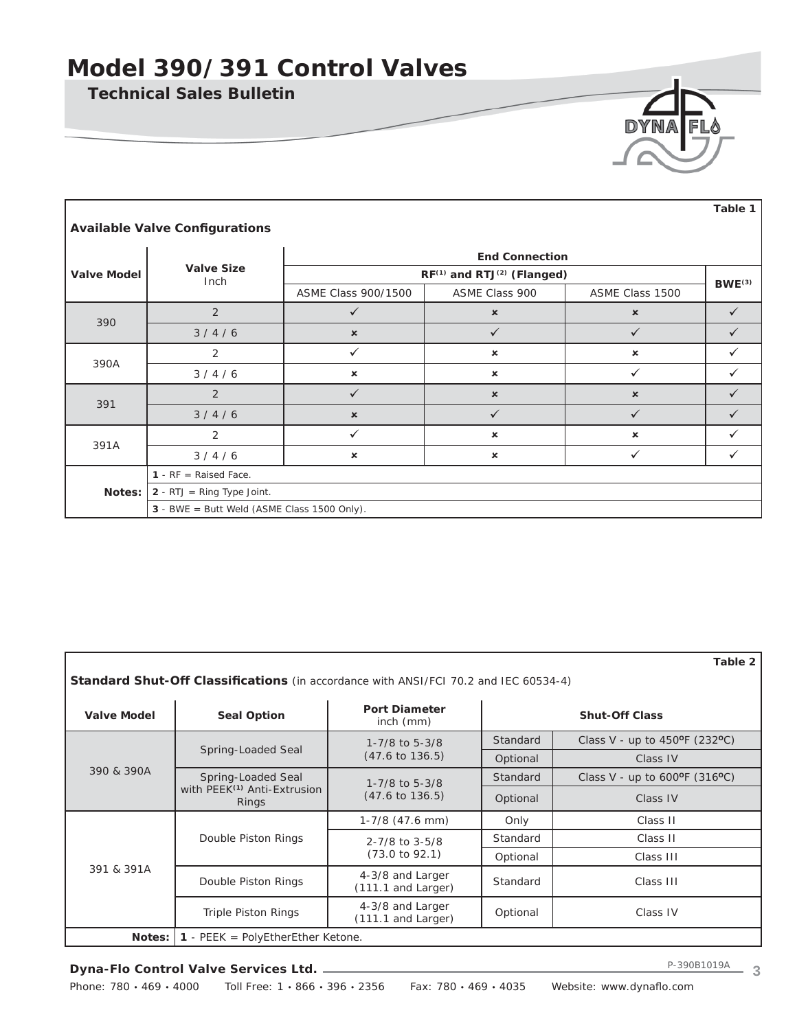**Technical Sales Bulletin**

Г

| DYNA FLY |  |
|----------|--|
|          |  |
|          |  |

|                       | <b>Available Valve Configurations</b>       |                           |                                                    |                           | Table 1            |  |  |  |
|-----------------------|---------------------------------------------|---------------------------|----------------------------------------------------|---------------------------|--------------------|--|--|--|
| <b>End Connection</b> |                                             |                           |                                                    |                           |                    |  |  |  |
| <b>Valve Model</b>    | <b>Valve Size</b><br>Inch                   |                           | RF <sup>(1)</sup> and RTJ <sup>(2)</sup> (Flanged) |                           | BWE <sup>(3)</sup> |  |  |  |
|                       |                                             | ASME Class 900/1500       | ASME Class 900                                     | ASME Class 1500           |                    |  |  |  |
|                       | 2                                           | $\checkmark$              | $\boldsymbol{\mathsf{x}}$                          | $\boldsymbol{\mathsf{x}}$ | $\checkmark$       |  |  |  |
| 390                   | 3/4/6                                       | $\pmb{\times}$            | $\checkmark$                                       | ✓                         | $\checkmark$       |  |  |  |
|                       | 2                                           | $\checkmark$              | $\boldsymbol{\mathsf{x}}$                          | $\boldsymbol{\mathsf{x}}$ | ✓                  |  |  |  |
| 390A                  | 3/4/6                                       | $\mathbf x$               | $\mathbf x$                                        | $\checkmark$              | ✓                  |  |  |  |
|                       | 2                                           | ✓                         | $\pmb{\times}$                                     | $\pmb{\times}$            | ✓                  |  |  |  |
| 391                   | 3/4/6                                       | $\pmb{\times}$            | $\checkmark$                                       | $\checkmark$              | $\checkmark$       |  |  |  |
| 391A                  | 2                                           | $\checkmark$              | $\pmb{\times}$                                     | $\boldsymbol{\mathsf{x}}$ | ✓                  |  |  |  |
|                       | 3/4/6                                       | $\boldsymbol{\mathsf{x}}$ | $\boldsymbol{\mathsf{x}}$                          | ✓                         | $\checkmark$       |  |  |  |
|                       | 1 - $RF$ = Raised Face.                     |                           |                                                    |                           |                    |  |  |  |
| Notes:                | $2 - RTJ = Ring Type Joint.$                |                           |                                                    |                           |                    |  |  |  |
|                       | 3 - BWE = Butt Weld (ASME Class 1500 Only). |                           |                                                    |                           |                    |  |  |  |

| Table 2<br><b>Standard Shut-Off Classifications</b> (in accordance with ANSI/FCI 70.2 and IEC 60534-4) |                                                  |                                          |          |                                              |  |  |  |  |
|--------------------------------------------------------------------------------------------------------|--------------------------------------------------|------------------------------------------|----------|----------------------------------------------|--|--|--|--|
| <b>Valve Model</b>                                                                                     | <b>Seal Option</b>                               | <b>Port Diameter</b><br>$inch$ ( $mm$ )  |          | <b>Shut-Off Class</b>                        |  |  |  |  |
|                                                                                                        |                                                  | 1-7/8 to 5-3/8                           | Standard | Class V - up to $450^{\circ}F(232^{\circ}C)$ |  |  |  |  |
| 390 & 390A                                                                                             | Spring-Loaded Seal                               | $(47.6 \text{ to } 136.5)$               | Optional | Class IV                                     |  |  |  |  |
|                                                                                                        | Spring-Loaded Seal                               | $1 - 7/8$ to 5-3/8                       | Standard | Class V - up to $600^{\circ}F(316^{\circ}C)$ |  |  |  |  |
|                                                                                                        | with PEEK <sup>(1)</sup> Anti-Extrusion<br>Rings | $(47.6 \text{ to } 136.5)$               | Optional | Class IV                                     |  |  |  |  |
|                                                                                                        |                                                  | $1-7/8$ (47.6 mm)                        | Only     | Class II                                     |  |  |  |  |
|                                                                                                        | Double Piston Rings                              | $2 - 7/8$ to $3 - 5/8$                   | Standard | Class II                                     |  |  |  |  |
|                                                                                                        |                                                  | $(73.0 \text{ to } 92.1)$                | Optional | Class III                                    |  |  |  |  |
| 391 & 391A                                                                                             | Double Piston Rings                              | 4-3/8 and Larger<br>$(111.1$ and Larger) | Standard | Class III                                    |  |  |  |  |
|                                                                                                        | <b>Triple Piston Rings</b>                       | 4-3/8 and Larger<br>(111.1 and Larger)   | Optional | Class IV                                     |  |  |  |  |
| Notes:                                                                                                 | <b>1</b> - PEEK = PolyEtherEther Ketone.         |                                          |          |                                              |  |  |  |  |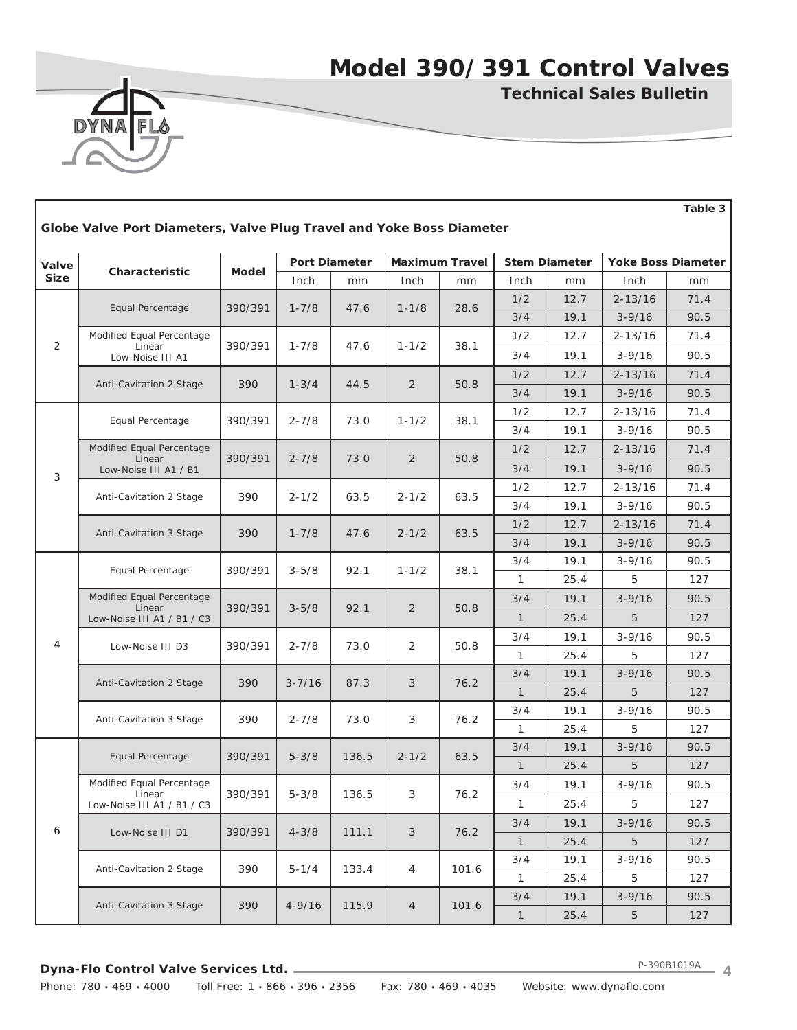

**Technical Sales Bulletin**

**Table 3**

| Globe Valve Port Diameters, Valve Plug Travel and Yoke Boss Diameter |                                     |         |            |                      |                |                       |              |                      |                 |                    |
|----------------------------------------------------------------------|-------------------------------------|---------|------------|----------------------|----------------|-----------------------|--------------|----------------------|-----------------|--------------------|
| Valve                                                                |                                     |         |            | <b>Port Diameter</b> |                | <b>Maximum Travel</b> |              | <b>Stem Diameter</b> |                 | Yoke Boss Diameter |
| <b>Size</b>                                                          | Characteristic                      | Model   | Inch       | mm                   | Inch           | mm                    | Inch         | mm                   | Inch            | mm                 |
|                                                                      |                                     |         |            |                      |                |                       | 1/2          | 12.7                 | $2 - 13/16$     | 71.4               |
|                                                                      | Equal Percentage                    | 390/391 | $1 - 7/8$  | 47.6                 | $1 - 1/8$      | 28.6                  | 3/4          | 19.1                 | $3 - 9/16$      | 90.5               |
| $\overline{2}$                                                       | Modified Equal Percentage           |         |            |                      |                |                       | 1/2          | 12.7                 | $2 - 13/16$     | 71.4               |
|                                                                      | Linear<br>Low-Noise III A1          | 390/391 | $1 - 7/8$  | 47.6                 | $1 - 1/2$      | 38.1                  | 3/4          | 19.1                 | $3 - 9/16$      | 90.5               |
|                                                                      |                                     |         |            |                      |                |                       | 1/2          | 12.7                 | $2 - 13/16$     | 71.4               |
|                                                                      | Anti-Cavitation 2 Stage             | 390     | $1 - 3/4$  | 44.5                 | 2              | 50.8                  | 3/4          | 19.1                 | $3 - 9/16$      | 90.5               |
|                                                                      | Equal Percentage                    | 390/391 | $2 - 7/8$  | 73.0                 | $1 - 1/2$      | 38.1                  | 1/2          | 12.7                 | $2 - 13/16$     | 71.4               |
|                                                                      |                                     |         |            |                      |                |                       | 3/4          | 19.1                 | $3 - 9/16$      | 90.5               |
|                                                                      | Modified Equal Percentage<br>Linear | 390/391 | $2 - 7/8$  | 73.0                 | 2              | 50.8                  | 1/2          | 12.7                 | $2 - 13/16$     | 71.4               |
| 3                                                                    | Low-Noise III A1 / B1               |         |            |                      |                |                       | 3/4          | 19.1                 | $3 - 9/16$      | 90.5               |
|                                                                      |                                     |         | $2 - 1/2$  |                      |                |                       | 1/2          | 12.7                 | $2 - 13/16$     | 71.4               |
|                                                                      | Anti-Cavitation 2 Stage             | 390     |            | 63.5                 | $2 - 1/2$      | 63.5                  | 3/4          | 19.1                 | $3 - 9/16$      | 90.5               |
|                                                                      | Anti-Cavitation 3 Stage             | 390     |            |                      |                |                       | 1/2          | 12.7                 | $2 - 13/16$     | 71.4               |
|                                                                      |                                     |         | $1 - 7/8$  | 47.6                 |                | $2 - 1/2$<br>63.5     | 3/4          | 19.1                 | $3 - 9/16$      | 90.5               |
|                                                                      | Equal Percentage                    | 390/391 | $3 - 5/8$  | 92.1                 | $1 - 1/2$      | 38.1                  | 3/4          | 19.1                 | $3 - 9/16$      | 90.5               |
|                                                                      |                                     |         |            |                      |                |                       | 1            | 25.4                 | 5               | 127                |
|                                                                      | Modified Equal Percentage<br>Linear | 390/391 | $3 - 5/8$  | 92.1                 | $\overline{2}$ | 50.8                  | 3/4          | 19.1                 | $3 - 9/16$      | 90.5               |
|                                                                      | Low-Noise III A1 / B1 / C3          |         |            |                      |                |                       | $\mathbf{1}$ | 25.4                 | 5               | 127                |
| 4                                                                    | Low-Noise III D3                    | 390/391 | $2 - 7/8$  | 73.0                 | 2              | 50.8                  | 3/4          | 19.1                 | $3 - 9/16$      | 90.5               |
|                                                                      |                                     |         |            |                      |                |                       | 1            | 25.4                 | 5               | 127                |
|                                                                      | Anti-Cavitation 2 Stage             | 390     | $3 - 7/16$ | 87.3                 | 3              | 76.2                  | 3/4          | 19.1                 | $3 - 9/16$      | 90.5               |
|                                                                      |                                     |         |            |                      |                |                       | $\mathbf{1}$ | 25.4                 | 5               | 127                |
|                                                                      | Anti-Cavitation 3 Stage             | 390     | $2 - 7/8$  | 73.0                 | 3              | 76.2                  | 3/4          | 19.1                 | $3 - 9/16$      | 90.5               |
|                                                                      |                                     |         |            |                      |                |                       | 1            | 25.4                 | 5               | 127                |
|                                                                      | Equal Percentage                    | 390/391 | $5 - 3/8$  | 136.5                | $2 - 1/2$      | 63.5                  | 3/4          | 19.1                 | $3 - 9/16$      | 90.5               |
|                                                                      |                                     |         |            |                      |                |                       | $\mathbf{1}$ | 25.4                 | 5               | 127                |
|                                                                      | Modified Equal Percentage<br>Linear | 390/391 | $5 - 3/8$  | 136.5                | 3              | 76.2                  | 3/4          | 19.1                 | $3 - 9/16$      | 90.5               |
|                                                                      | Low-Noise III A1 / B1 / C3          |         |            |                      |                |                       | $\mathbf{1}$ | 25.4                 | 5               | 127                |
| 6                                                                    | Low-Noise III D1                    | 390/391 | $4 - 3/8$  | 111.1                | 3              | 76.2                  | 3/4          | 19.1                 | $3 - 9/16$      | 90.5               |
|                                                                      |                                     |         |            |                      |                |                       | $\mathbf{1}$ | 25.4                 | $5\overline{)}$ | 127                |
|                                                                      | Anti-Cavitation 2 Stage             | 390     | $5 - 1/4$  | 133.4                | 4              | 101.6                 | 3/4          | 19.1                 | $3 - 9/16$      | 90.5               |
|                                                                      |                                     |         |            |                      |                |                       | $\mathbf{1}$ | 25.4                 | 5               | 127                |
|                                                                      | Anti-Cavitation 3 Stage             | 390     | $4 - 9/16$ | 115.9                | $\overline{4}$ | 101.6                 | 3/4          | 19.1                 | $3 - 9/16$      | 90.5               |
|                                                                      |                                     |         |            |                      |                |                       | $\mathbf{1}$ | 25.4                 | $\sqrt{5}$      | 127                |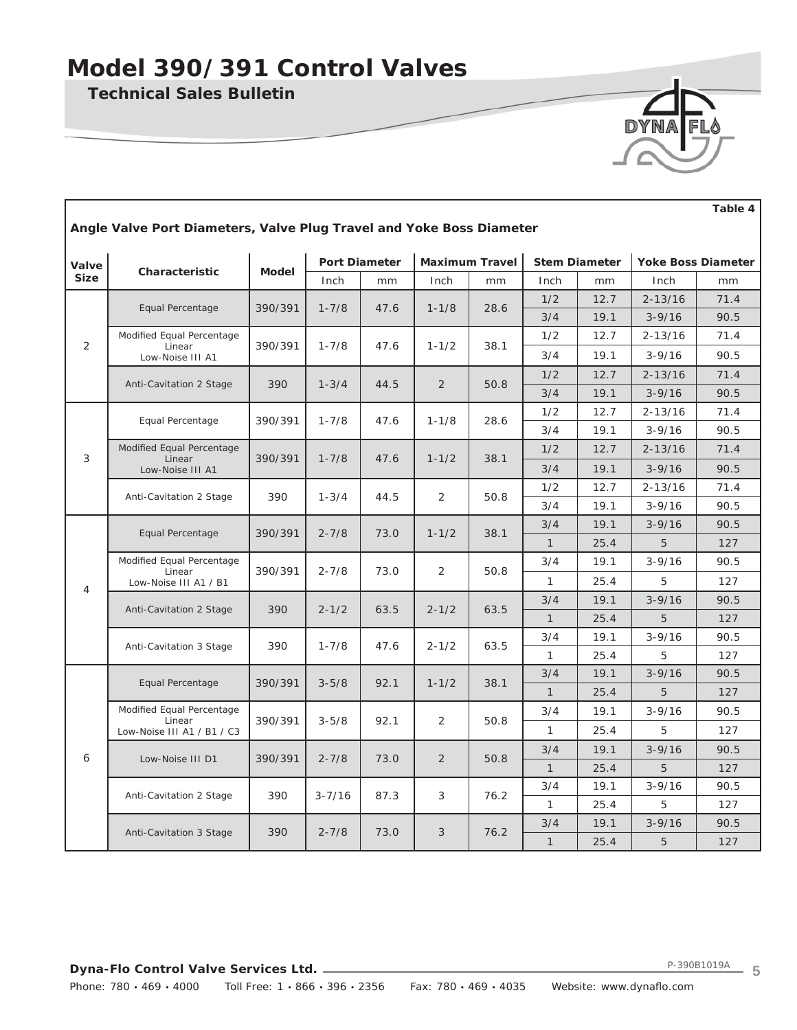**Technical Sales Bulletin**

Г



|                                                                      | Table 4                             |              |                      |      |           |                       |              |                      |             |                           |
|----------------------------------------------------------------------|-------------------------------------|--------------|----------------------|------|-----------|-----------------------|--------------|----------------------|-------------|---------------------------|
| Angle Valve Port Diameters, Valve Plug Travel and Yoke Boss Diameter |                                     |              |                      |      |           |                       |              |                      |             |                           |
| Valve                                                                |                                     |              | <b>Port Diameter</b> |      |           | <b>Maximum Travel</b> |              | <b>Stem Diameter</b> |             | <b>Yoke Boss Diameter</b> |
| <b>Size</b>                                                          | Characteristic                      | <b>Model</b> | Inch                 | mm   | Inch      | mm                    | Inch         | mm                   | Inch        | mm                        |
|                                                                      |                                     |              |                      |      |           |                       | 1/2          | 12.7                 | $2 - 13/16$ | 71.4                      |
|                                                                      | Equal Percentage                    | 390/391      | $1 - 7/8$            | 47.6 | $1 - 1/8$ | 28.6                  | 3/4          | 19.1                 | $3 - 9/16$  | 90.5                      |
|                                                                      | Modified Equal Percentage           |              |                      |      |           |                       | 1/2          | 12.7                 | $2 - 13/16$ | 71.4                      |
| 2                                                                    | Linear<br>Low-Noise III A1          | 390/391      | $1 - 7/8$            | 47.6 | $1 - 1/2$ | 38.1                  | 3/4          | 19.1                 | $3 - 9/16$  | 90.5                      |
|                                                                      | Anti-Cavitation 2 Stage             | 390          | $1 - 3/4$            | 44.5 | 2         | 50.8                  | 1/2          | 12.7                 | $2 - 13/16$ | 71.4                      |
|                                                                      |                                     |              |                      |      |           |                       | 3/4          | 19.1                 | $3 - 9/16$  | 90.5                      |
|                                                                      | Equal Percentage                    | 390/391      | $1 - 7/8$            | 47.6 | $1 - 1/8$ | 28.6                  | 1/2          | 12.7                 | $2 - 13/16$ | 71.4                      |
|                                                                      |                                     |              |                      |      |           |                       | 3/4          | 19.1                 | $3 - 9/16$  | 90.5                      |
| 3                                                                    | Modified Equal Percentage<br>Linear | 390/391      | $1 - 7/8$            | 47.6 | $1 - 1/2$ | 38.1                  | 1/2          | 12.7                 | $2 - 13/16$ | 71.4                      |
|                                                                      | Low-Noise III A1                    |              |                      |      |           |                       | 3/4          | 19.1                 | $3 - 9/16$  | 90.5                      |
|                                                                      | Anti-Cavitation 2 Stage             | 390          | $1 - 3/4$            | 44.5 | 2         | 50.8                  | 1/2          | 12.7                 | $2 - 13/16$ | 71.4                      |
|                                                                      |                                     |              |                      |      |           |                       | 3/4          | 19.1                 | $3 - 9/16$  | 90.5                      |
|                                                                      | Equal Percentage                    | 390/391      | $2 - 7/8$            | 73.0 | $1 - 1/2$ | 38.1                  | 3/4          | 19.1                 | $3 - 9/16$  | 90.5                      |
|                                                                      |                                     |              |                      |      |           |                       | $\mathbf{1}$ | 25.4                 | 5           | 127                       |
|                                                                      | Modified Equal Percentage<br>Linear | 390/391      | $2 - 7/8$            | 73.0 | 2         | 50.8                  | 3/4          | 19.1                 | $3 - 9/16$  | 90.5                      |
| $\overline{4}$                                                       | Low-Noise III A1 / B1               |              |                      |      |           |                       | 1            | 25.4                 | 5           | 127                       |
|                                                                      | Anti-Cavitation 2 Stage             | 390          | $2 - 1/2$            | 63.5 | $2 - 1/2$ | 63.5                  | 3/4          | 19.1                 | $3 - 9/16$  | 90.5                      |
|                                                                      |                                     |              |                      |      |           |                       | $\mathbf{1}$ | 25.4                 | 5           | 127                       |
|                                                                      | Anti-Cavitation 3 Stage             | 390          | $1 - 7/8$            | 47.6 | $2 - 1/2$ | 63.5                  | 3/4          | 19.1                 | $3 - 9/16$  | 90.5                      |
|                                                                      |                                     |              |                      |      |           |                       | $\mathbf{1}$ | 25.4                 | 5           | 127                       |
|                                                                      | Equal Percentage                    | 390/391      | $3 - 5/8$            | 92.1 | $1 - 1/2$ | 38.1                  | 3/4          | 19.1                 | $3 - 9/16$  | 90.5                      |
|                                                                      |                                     |              |                      |      |           |                       | $\mathbf{1}$ | 25.4                 | 5           | 127                       |
|                                                                      | Modified Equal Percentage<br>Linear | 390/391      | $3 - 5/8$            | 92.1 | 2         | 50.8                  | 3/4          | 19.1                 | $3 - 9/16$  | 90.5                      |
|                                                                      | Low-Noise III A1 / B1 / C3          |              |                      |      |           |                       | 1            | 25.4                 | 5           | 127                       |
| 6                                                                    | Low-Noise III D1                    | 390/391      | $2 - 7/8$            | 73.0 | 2         | 50.8                  | 3/4          | 19.1                 | $3 - 9/16$  | 90.5                      |
|                                                                      |                                     |              |                      |      |           |                       | $\mathbf{1}$ | 25.4                 | 5           | 127                       |
|                                                                      | Anti-Cavitation 2 Stage             | 390          | $3 - 7/16$           | 87.3 | 3         | 76.2                  | 3/4          | 19.1                 | $3 - 9/16$  | 90.5                      |
|                                                                      |                                     |              |                      |      |           |                       | $\mathbf{1}$ | 25.4                 | 5           | 127                       |
|                                                                      | Anti-Cavitation 3 Stage             | 390          | $2 - 7/8$            | 73.0 | 3         | 76.2                  | 3/4          | 19.1                 | $3 - 9/16$  | 90.5                      |
|                                                                      |                                     |              |                      |      |           |                       | $\mathbf{1}$ | 25.4                 | 5           | 127                       |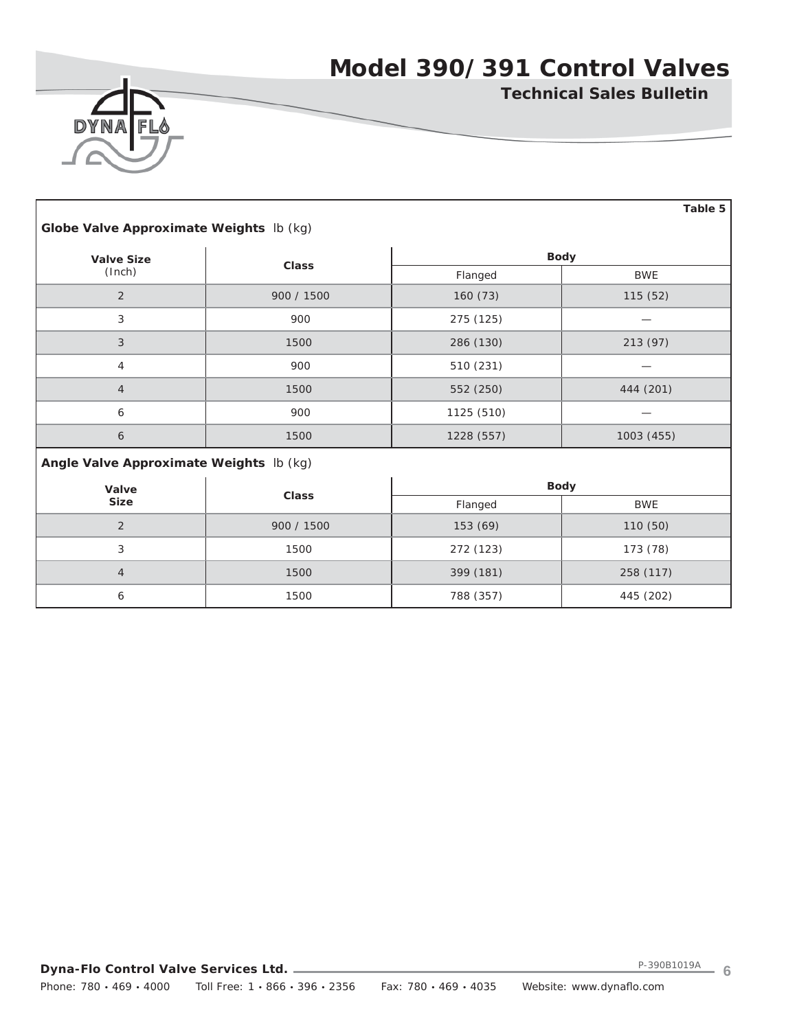

Г

**Technical Sales Bulletin**

|                                         |              |            | Table 5     |  |  |  |  |  |
|-----------------------------------------|--------------|------------|-------------|--|--|--|--|--|
| Globe Valve Approximate Weights Ib (kg) |              |            |             |  |  |  |  |  |
| <b>Valve Size</b>                       | <b>Class</b> |            | <b>Body</b> |  |  |  |  |  |
| (Inch)                                  |              | Flanged    | <b>BWE</b>  |  |  |  |  |  |
| $\overline{2}$                          | 900 / 1500   | 160(73)    | 115 (52)    |  |  |  |  |  |
| 3                                       | 900          | 275 (125)  |             |  |  |  |  |  |
| 3                                       | 1500         | 286 (130)  | 213 (97)    |  |  |  |  |  |
| 4                                       | 900          | 510 (231)  |             |  |  |  |  |  |
| $\overline{4}$                          | 1500         | 552 (250)  | 444 (201)   |  |  |  |  |  |
| 6                                       | 900          | 1125 (510) |             |  |  |  |  |  |
| $\boldsymbol{6}$                        | 1500         | 1228 (557) | 1003 (455)  |  |  |  |  |  |
| Angle Valve Approximate Weights Ib (kg) |              |            |             |  |  |  |  |  |
| Valve                                   | Class        |            | <b>Body</b> |  |  |  |  |  |
| <b>Size</b>                             |              | Flanged    | <b>BWE</b>  |  |  |  |  |  |
| $\overline{2}$                          | 900 / 1500   | 153 (69)   | 110 (50)    |  |  |  |  |  |
| 3                                       | 1500         | 272 (123)  | 173 (78)    |  |  |  |  |  |
| $\overline{4}$                          | 1500         | 399 (181)  | 258 (117)   |  |  |  |  |  |
| 6                                       | 1500         | 788 (357)  | 445 (202)   |  |  |  |  |  |

**Dyna-Flo Control Valve Services Ltd.** Phone: 780 · 469 · 4000 Toll Free: 1 · 866 · 396 · 2356 Fax: 780 · 469 · 4035 Website: www.dynaflo.com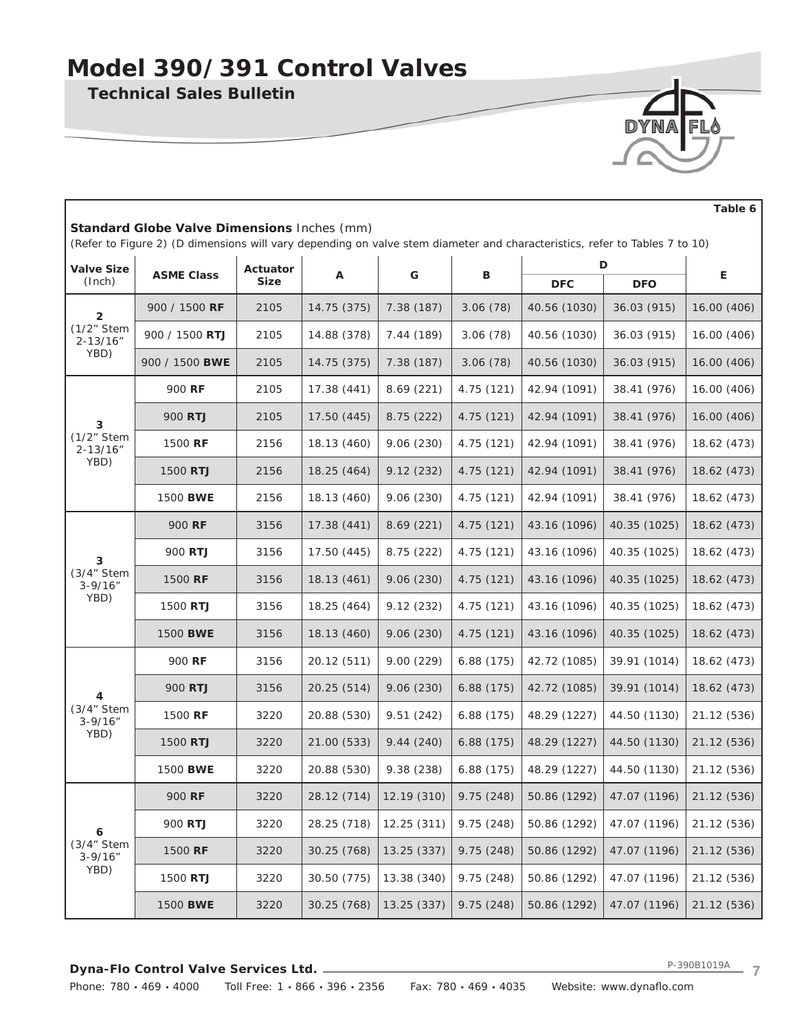**Technical Sales Bulletin**

| Standard Globe Valve Dimensions Inches (mm)<br>(Refer to Figure 2) (D dimensions will vary depending on valve stem diameter and characteristics, refer to Tables 7 to 10) |                   |             |             |             |            |              |              |             |
|---------------------------------------------------------------------------------------------------------------------------------------------------------------------------|-------------------|-------------|-------------|-------------|------------|--------------|--------------|-------------|
| <b>Valve Size</b>                                                                                                                                                         | <b>ASME Class</b> | Actuator    | Α           | G           | В          |              | D            | Е           |
| (Inch)                                                                                                                                                                    |                   | <b>Size</b> |             |             |            | <b>DFC</b>   | <b>DFO</b>   |             |
| $\overline{2}$                                                                                                                                                            | 900 / 1500 RF     | 2105        | 14.75 (375) | 7.38 (187)  | 3.06(78)   | 40.56 (1030) | 36.03 (915)  | 16.00 (406) |
| (1/2" Stem<br>$2 - 13/16"$                                                                                                                                                | 900 / 1500 RTJ    | 2105        | 14.88 (378) | 7.44 (189)  | 3.06(78)   | 40.56 (1030) | 36.03 (915)  | 16.00 (406) |
| YBD)                                                                                                                                                                      | 900 / 1500 BWE    | 2105        | 14.75 (375) | 7.38 (187)  | 3.06(78)   | 40.56 (1030) | 36.03 (915)  | 16.00 (406) |
|                                                                                                                                                                           | 900 RF            | 2105        | 17.38 (441) | 8.69(221)   | 4.75(121)  | 42.94 (1091) | 38.41 (976)  | 16.00 (406) |
| 3                                                                                                                                                                         | 900 RTJ           | 2105        | 17.50 (445) | 8.75 (222)  | 4.75 (121) | 42.94 (1091) | 38.41 (976)  | 16.00 (406) |
| (1/2" Stem<br>$2 - 13/16"$                                                                                                                                                | 1500 RF           | 2156        | 18.13 (460) | 9.06(230)   | 4.75(121)  | 42.94 (1091) | 38.41 (976)  | 18.62 (473) |
| YBD)                                                                                                                                                                      | 1500 RTJ          | 2156        | 18.25 (464) | 9.12(232)   | 4.75(121)  | 42.94 (1091) | 38.41 (976)  | 18.62 (473) |
|                                                                                                                                                                           | 1500 BWE          | 2156        | 18.13 (460) | 9.06(230)   | 4.75 (121) | 42.94 (1091) | 38.41 (976)  | 18.62 (473) |
|                                                                                                                                                                           | 900 RF            | 3156        | 17.38 (441) | 8.69(221)   | 4.75 (121) | 43.16 (1096) | 40.35 (1025) | 18.62 (473) |
| 3                                                                                                                                                                         | 900 RTJ           | 3156        | 17.50 (445) | 8.75 (222)  | 4.75 (121) | 43.16 (1096) | 40.35 (1025) | 18.62 (473) |
| (3/4" Stem<br>$3 - 9/16''$                                                                                                                                                | 1500 RF           | 3156        | 18.13 (461) | 9.06(230)   | 4.75(121)  | 43.16 (1096) | 40.35 (1025) | 18.62 (473) |
| YBD)                                                                                                                                                                      | 1500 RTJ          | 3156        | 18.25 (464) | 9.12(232)   | 4.75(121)  | 43.16 (1096) | 40.35 (1025) | 18.62 (473) |
|                                                                                                                                                                           | 1500 BWE          | 3156        | 18.13 (460) | 9.06(230)   | 4.75(121)  | 43.16 (1096) | 40.35 (1025) | 18.62 (473) |
|                                                                                                                                                                           | 900 RF            | 3156        | 20.12 (511) | 9.00(229)   | 6.88(175)  | 42.72 (1085) | 39.91 (1014) | 18.62 (473) |
| 4                                                                                                                                                                         | 900 RTJ           | 3156        | 20.25 (514) | 9.06(230)   | 6.88(175)  | 42.72 (1085) | 39.91 (1014) | 18.62 (473) |
| (3/4" Stem<br>$3 - 9/16"$                                                                                                                                                 | 1500 RF           | 3220        | 20.88 (530) | 9.51(242)   | 6.88(175)  | 48.29 (1227) | 44.50 (1130) | 21.12 (536) |
| YBD)                                                                                                                                                                      | 1500 RTJ          | 3220        | 21.00 (533) | 9.44(240)   | 6.88(175)  | 48.29 (1227) | 44.50 (1130) | 21.12 (536) |
|                                                                                                                                                                           | 1500 BWE          | 3220        | 20.88 (530) | 9.38 (238)  | 6.88(175)  | 48.29 (1227) | 44.50 (1130) | 21.12 (536) |
|                                                                                                                                                                           | 900 RF            | 3220        | 28.12 (714) | 12.19(310)  | 9.75(248)  | 50.86 (1292) | 47.07 (1196) | 21.12 (536) |
| 6                                                                                                                                                                         | 900 RTJ           | 3220        | 28.25 (718) | 12.25 (311) | 9.75(248)  | 50.86 (1292) | 47.07 (1196) | 21.12 (536) |
| (3/4" Stem<br>$3 - 9/16"$                                                                                                                                                 | 1500 RF           | 3220        | 30.25 (768) | 13.25 (337) | 9.75(248)  | 50.86 (1292) | 47.07 (1196) | 21.12 (536) |
| YBD)                                                                                                                                                                      | 1500 RTJ          | 3220        | 30.50 (775) | 13.38 (340) | 9.75(248)  | 50.86 (1292) | 47.07 (1196) | 21.12 (536) |
|                                                                                                                                                                           | 1500 BWE          | 3220        | 30.25 (768) | 13.25 (337) | 9.75 (248) | 50.86 (1292) | 47.07 (1196) | 21.12 (536) |

 **Table 6**

DYN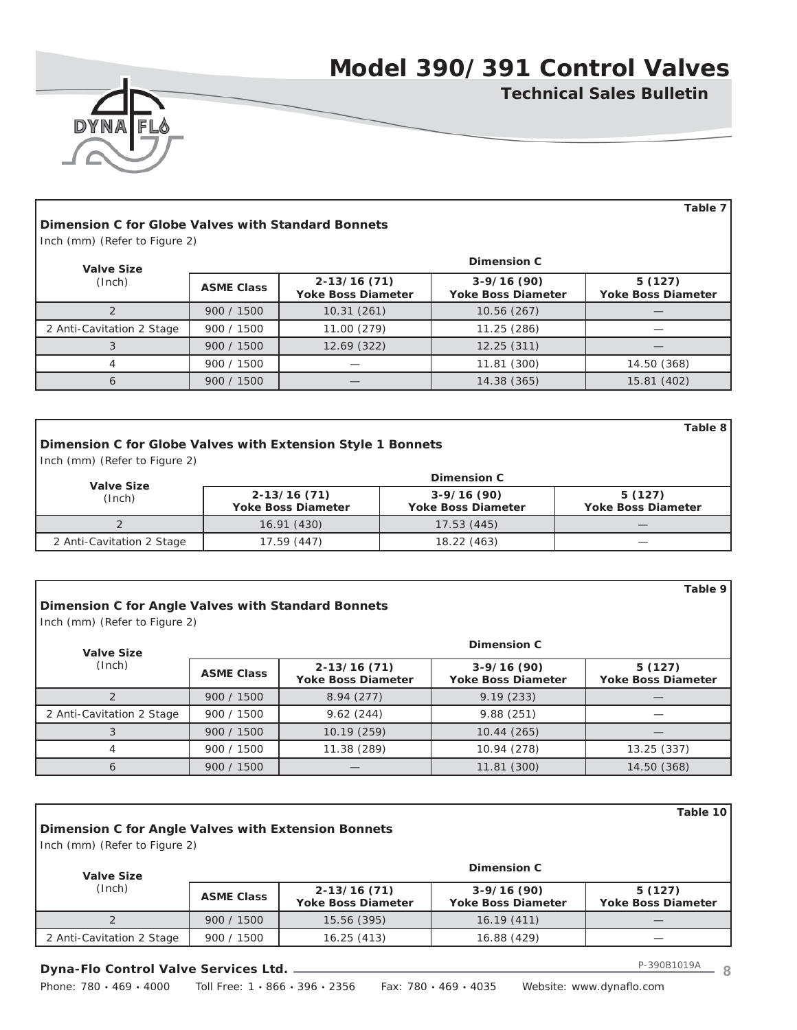



## **Dimension C for Globe Valves with Standard Bonnets**

Inch (mm) (Refer to Figure 2)

| <b>Valve Size</b>         | Dimension C       |                                              |                                           |                                     |  |  |  |
|---------------------------|-------------------|----------------------------------------------|-------------------------------------------|-------------------------------------|--|--|--|
| (Inch)                    | <b>ASME Class</b> | $2 - 13/16(71)$<br><b>Yoke Boss Diameter</b> | $3-9/16(90)$<br><b>Yoke Boss Diameter</b> | 5(127)<br><b>Yoke Boss Diameter</b> |  |  |  |
|                           | 900 / 1500        | 10.31(261)                                   | 10.56 (267)                               |                                     |  |  |  |
| 2 Anti-Cavitation 2 Stage | 900 / 1500        | 11.00 (279)                                  | 11.25 (286)                               |                                     |  |  |  |
|                           | 900 / 1500        | 12.69 (322)                                  | 12.25(311)                                |                                     |  |  |  |
|                           | 900 / 1500        |                                              | 11.81 (300)                               | 14.50 (368)                         |  |  |  |
|                           | 900 / 1500        |                                              | 14.38 (365)                               | 15.81 (402)                         |  |  |  |

## **Dimension C for Globe Valves with Extension Style 1 Bonnets**

Inch (mm) (Refer to Figure 2)

| <b>Valve Size</b>         | Dimension C                                  |                                           |                                     |  |  |  |
|---------------------------|----------------------------------------------|-------------------------------------------|-------------------------------------|--|--|--|
| (Inch)                    | $2 - 13/16(71)$<br><b>Yoke Boss Diameter</b> | $3-9/16(90)$<br><b>Yoke Boss Diameter</b> | 5(127)<br><b>Yoke Boss Diameter</b> |  |  |  |
|                           | 16.91(430)                                   | 17.53 (445)                               |                                     |  |  |  |
| 2 Anti-Cavitation 2 Stage | 17.59 (447)                                  | 18.22 (463)                               |                                     |  |  |  |

### **Dimension C for Angle Valves with Standard Bonnets**

Inch (mm) (Refer to Figure 2)

| <b>Valve Size</b>         | Dimension C       |                                              |                                           |                                     |  |  |  |
|---------------------------|-------------------|----------------------------------------------|-------------------------------------------|-------------------------------------|--|--|--|
| (Inch)                    | <b>ASME Class</b> | $2 - 13/16(71)$<br><b>Yoke Boss Diameter</b> | $3-9/16(90)$<br><b>Yoke Boss Diameter</b> | 5(127)<br><b>Yoke Boss Diameter</b> |  |  |  |
|                           | 900 / 1500        | 8.94(277)                                    | 9.19(233)                                 |                                     |  |  |  |
| 2 Anti-Cavitation 2 Stage | 900 / 1500        | 9.62(244)                                    | 9.88(251)                                 |                                     |  |  |  |
|                           | 900 / 1500        | 10.19(259)                                   | 10.44(265)                                |                                     |  |  |  |
| 4                         | 900 / 1500        | 11.38 (289)                                  | 10.94 (278)                               | 13.25 (337)                         |  |  |  |
| 6                         | 900 / 1500        |                                              | 11.81 (300)                               | 14.50 (368)                         |  |  |  |

| Table 10<br>Dimension C for Angle Valves with Extension Bonnets<br>Inch (mm) (Refer to Figure 2) |                   |                                              |                                           |                                     |  |  |
|--------------------------------------------------------------------------------------------------|-------------------|----------------------------------------------|-------------------------------------------|-------------------------------------|--|--|
| <b>Valve Size</b><br>(Inch)                                                                      | Dimension C       |                                              |                                           |                                     |  |  |
|                                                                                                  | <b>ASME Class</b> | $2 - 13/16(71)$<br><b>Yoke Boss Diameter</b> | $3-9/16(90)$<br><b>Yoke Boss Diameter</b> | 5(127)<br><b>Yoke Boss Diameter</b> |  |  |
|                                                                                                  | 900 / 1500        | 15.56 (395)                                  | 16.19(411)                                |                                     |  |  |
| 2 Anti-Cavitation 2 Stage                                                                        | 900 / 1500        | 16.25(413)                                   | 16.88 (429)                               |                                     |  |  |

### **Dyna-Flo Control Valve Services Ltd.**

Phone: 780 · 469 · 4000 Toll Free: 1 · 866 · 396 · 2356 Fax: 780 · 469 · 4035 Website: www.dynaflo.com

**Table 9**

**Table 8**

**Table 7**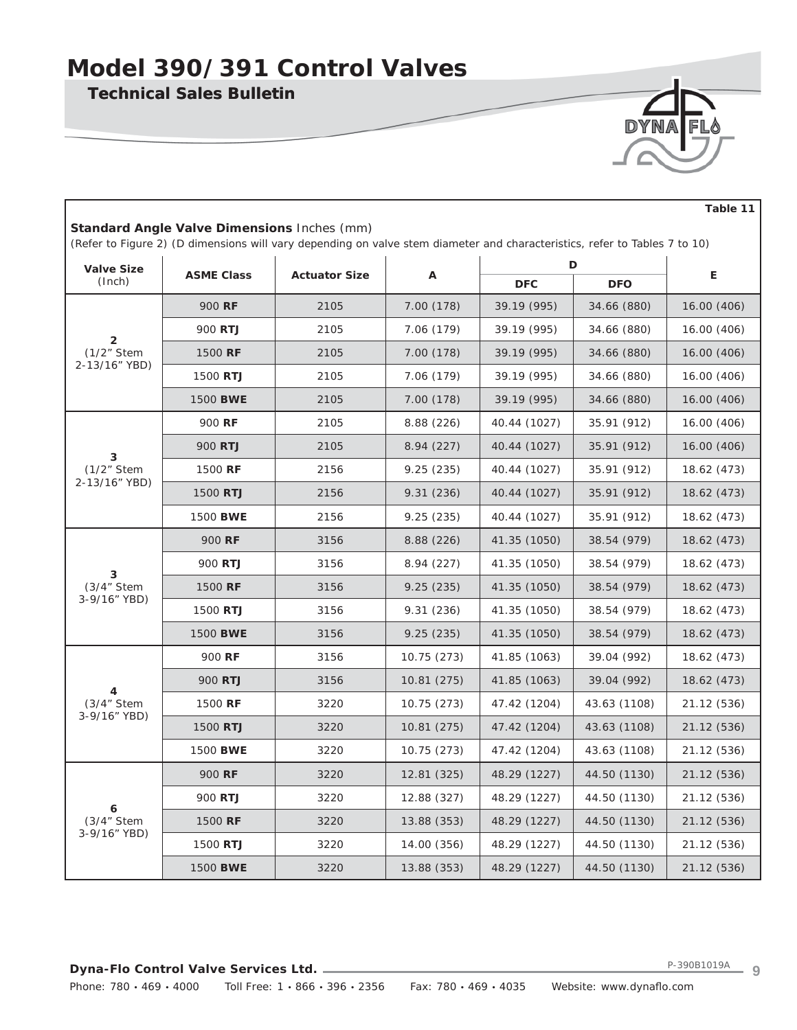**Technical Sales Bulletin**

Г

| DYNA FL <sup>&amp;</sup> |
|--------------------------|
|                          |
|                          |

|                                                                                                                                                                                  |                   |                      |             |              |              | Table 11    |  |  |  |
|----------------------------------------------------------------------------------------------------------------------------------------------------------------------------------|-------------------|----------------------|-------------|--------------|--------------|-------------|--|--|--|
| <b>Standard Angle Valve Dimensions Inches (mm)</b><br>(Refer to Figure 2) (D dimensions will vary depending on valve stem diameter and characteristics, refer to Tables 7 to 10) |                   |                      |             |              |              |             |  |  |  |
| <b>Valve Size</b>                                                                                                                                                                |                   |                      |             | D            |              |             |  |  |  |
| (Inch)                                                                                                                                                                           | <b>ASME Class</b> | <b>Actuator Size</b> | Α           | <b>DFC</b>   | <b>DFO</b>   | Е           |  |  |  |
|                                                                                                                                                                                  | 900 RF            | 2105                 | 7.00 (178)  | 39.19 (995)  | 34.66 (880)  | 16.00 (406) |  |  |  |
|                                                                                                                                                                                  | 900 RTJ           | 2105                 | 7.06 (179)  | 39.19 (995)  | 34.66 (880)  | 16.00 (406) |  |  |  |
| $\overline{2}$<br>(1/2" Stem                                                                                                                                                     | 1500 RF           | 2105                 | 7.00 (178)  | 39.19 (995)  | 34.66 (880)  | 16.00 (406) |  |  |  |
| 2-13/16" YBD)                                                                                                                                                                    | 1500 RTJ          | 2105                 | 7.06 (179)  | 39.19 (995)  | 34.66 (880)  | 16.00 (406) |  |  |  |
|                                                                                                                                                                                  | 1500 BWE          | 2105                 | 7.00 (178)  | 39.19 (995)  | 34.66 (880)  | 16.00 (406) |  |  |  |
|                                                                                                                                                                                  | 900 RF            | 2105                 | 8.88 (226)  | 40.44 (1027) | 35.91 (912)  | 16.00 (406) |  |  |  |
| 3                                                                                                                                                                                | 900 RTJ           | 2105                 | 8.94(227)   | 40.44 (1027) | 35.91 (912)  | 16.00 (406) |  |  |  |
| (1/2" Stem                                                                                                                                                                       | 1500 RF           | 2156                 | 9.25(235)   | 40.44 (1027) | 35.91 (912)  | 18.62 (473) |  |  |  |
| 2-13/16" YBD)                                                                                                                                                                    | 1500 RTJ          | 2156                 | 9.31(236)   | 40.44 (1027) | 35.91 (912)  | 18.62 (473) |  |  |  |
|                                                                                                                                                                                  | 1500 BWE          | 2156                 | 9.25(235)   | 40.44 (1027) | 35.91 (912)  | 18.62 (473) |  |  |  |
|                                                                                                                                                                                  | 900 RF            | 3156                 | 8.88 (226)  | 41.35 (1050) | 38.54 (979)  | 18.62 (473) |  |  |  |
| 3                                                                                                                                                                                | 900 RTJ           | 3156                 | 8.94 (227)  | 41.35 (1050) | 38.54 (979)  | 18.62 (473) |  |  |  |
| (3/4" Stem                                                                                                                                                                       | 1500 RF           | 3156                 | 9.25(235)   | 41.35 (1050) | 38.54 (979)  | 18.62 (473) |  |  |  |
| 3-9/16" YBD)                                                                                                                                                                     | 1500 RTJ          | 3156                 | 9.31(236)   | 41.35 (1050) | 38.54 (979)  | 18.62 (473) |  |  |  |
|                                                                                                                                                                                  | 1500 BWE          | 3156                 | 9.25(235)   | 41.35 (1050) | 38.54 (979)  | 18.62 (473) |  |  |  |
|                                                                                                                                                                                  | 900 RF            | 3156                 | 10.75 (273) | 41.85 (1063) | 39.04 (992)  | 18.62 (473) |  |  |  |
| 4                                                                                                                                                                                | 900 RTJ           | 3156                 | 10.81 (275) | 41.85 (1063) | 39.04 (992)  | 18.62 (473) |  |  |  |
| (3/4" Stem                                                                                                                                                                       | 1500 RF           | 3220                 | 10.75 (273) | 47.42 (1204) | 43.63 (1108) | 21.12 (536) |  |  |  |
| 3-9/16" YBD)                                                                                                                                                                     | 1500 RTJ          | 3220                 | 10.81 (275) | 47.42 (1204) | 43.63 (1108) | 21.12 (536) |  |  |  |
|                                                                                                                                                                                  | 1500 BWE          | 3220                 | 10.75 (273) | 47.42 (1204) | 43.63 (1108) | 21.12 (536) |  |  |  |
|                                                                                                                                                                                  | 900 RF            | 3220                 | 12.81 (325) | 48.29 (1227) | 44.50 (1130) | 21.12 (536) |  |  |  |
| 6                                                                                                                                                                                | 900 RTJ           | 3220                 | 12.88 (327) | 48.29 (1227) | 44.50 (1130) | 21.12 (536) |  |  |  |
| (3/4" Stem                                                                                                                                                                       | 1500 RF           | 3220                 | 13.88 (353) | 48.29 (1227) | 44.50 (1130) | 21.12 (536) |  |  |  |
| 3-9/16" YBD)                                                                                                                                                                     | 1500 RTJ          | 3220                 | 14.00 (356) | 48.29 (1227) | 44.50 (1130) | 21.12 (536) |  |  |  |
|                                                                                                                                                                                  | 1500 BWE          | 3220                 | 13.88 (353) | 48.29 (1227) | 44.50 (1130) | 21.12 (536) |  |  |  |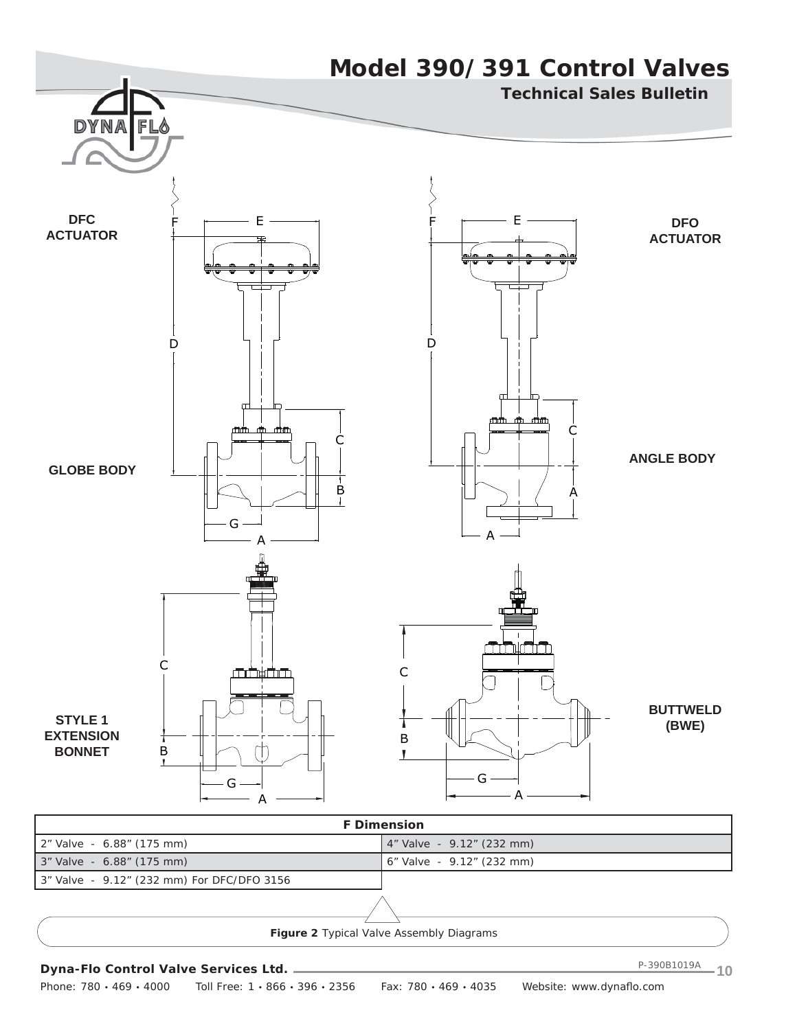

| 3" Valve - 6.88" (175 mm)                  | 6" Valve - 9.12" (232 mm) |
|--------------------------------------------|---------------------------|
| 3" Valve - 9.12" (232 mm) For DFC/DFO 3156 |                           |
|                                            |                           |

**Figure 2** *Typical Valve Assembly Diagrams*

Phone: 780 · 469 · 4000 Toll Free: 1 · 866 · 396 · 2356 Fax: 780 · 469 · 4035 Website: www.dynaflo.com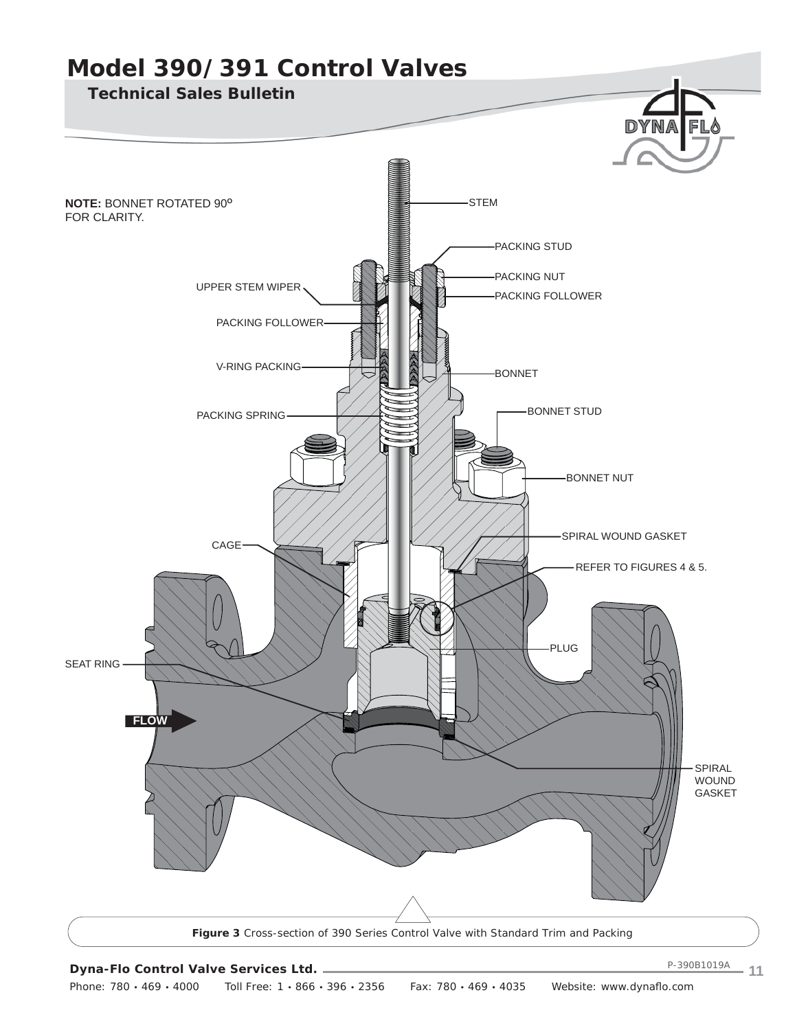

Phone: 780 · 469 · 4000 Toll Free: 1 · 866 · 396 · 2356 Fax: 780 · 469 · 4035 Website: www.dynaflo.com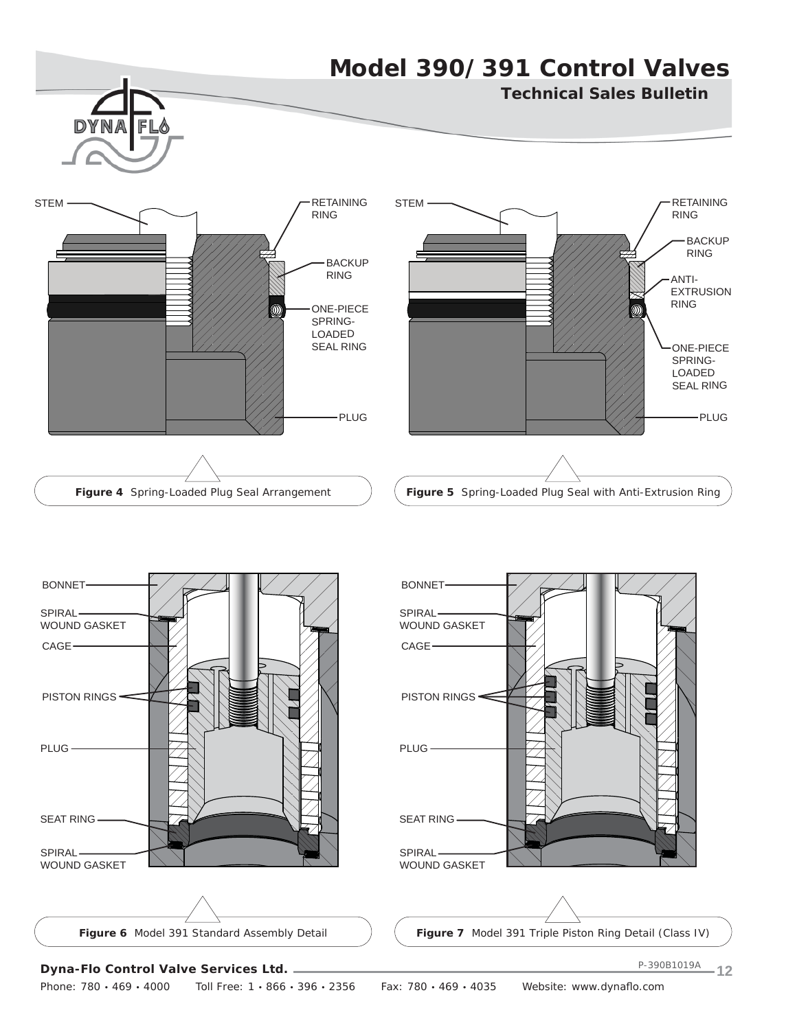## **Model 390/391 Control Valves Technical Sales Bulletin** Fl STEM  $\begin{array}{c} \fbox{F} \\ \fbox{F} \end{array}$ STEM  $\begin{array}{c}\n\hline\n\end{array}$  RETAINING RING RING BACKUP RING **BACKUP** RING ANTI-EXTRUSION RING ONE-PIECE M SPRING-LOADED SEAL RING ONE-PIECE SPRING-LOADED SEAL RING PLUG -PLUG **Figure 4** *Spring-Loaded Plug Seal Arrangement* **Figure 5** *Spring-Loaded Plug Seal with Anti-Extrusion Ring*



## **Dyna-Flo Control Valve Services Ltd.**

Phone: 780 · 469 · 4000 Toll Free: 1 · 866 · 396 · 2356 Fax: 780 · 469 · 4035 Website: www.dynaflo.com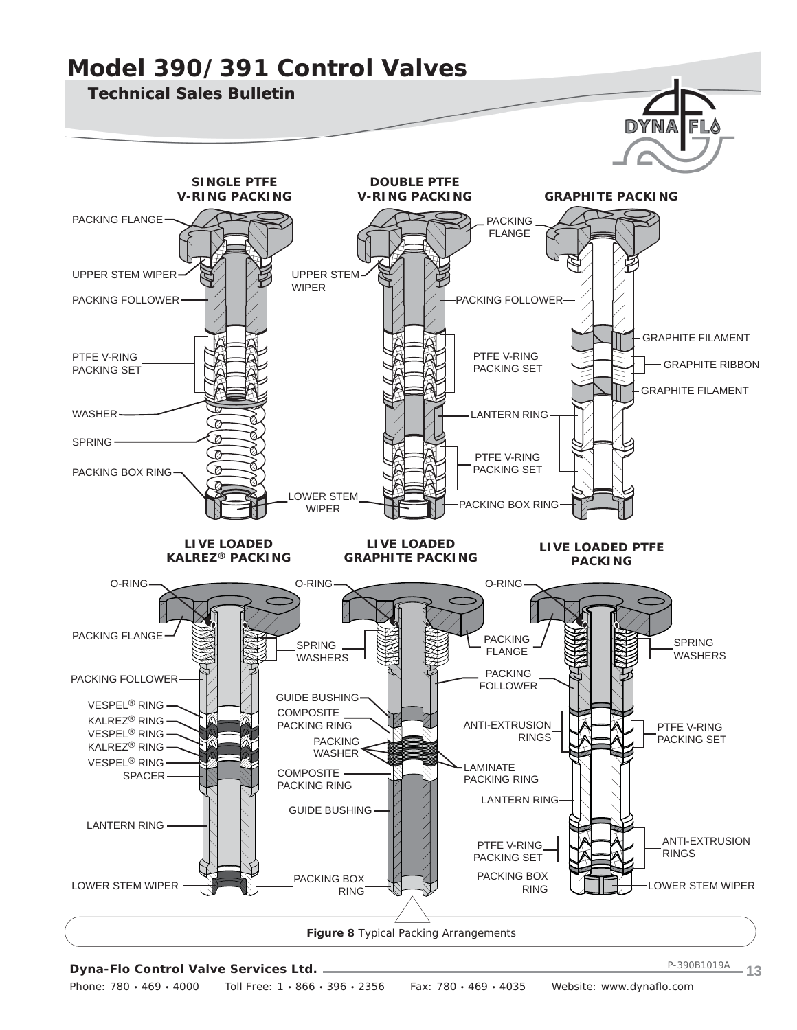#### **Model 390/391 Control Valves Technical Sales Bulletin** DYNA FL **SINGLE PTFE DOUBLE PTFE V-RING PACKING GRAPHITE PACKING V-RING PACKING** PACKING FLANGE PACKING FLANGE UPPER STEM WIPER UPPER STEM WIPER PACKING FOLLOWER PACKING FOLLOWER GRAPHITE FILAMENT PTFE V-RING PTFE V-RING GRAPHITE RIBBON PACKING SET PACKING SET GRAPHITE FILAMENT WASHER LANTERN RING ø Ø SPRING ø PTFE V-RING PACKING SET PACKING BOX RING LOWER STEM PACKING BOX RING WIPER **LIVE LOADED LIVE LOADED LIVE LOADED PTFE KALREZ® PACKING GRAPHITE PACKING PACKING** O-RING O-RING O-RING PACKING FLANGE PACKING SPRING SPRING FLANGE WASHERS WASHERS PACKING PACKING FOLLOWER FOLLOWER GUIDE BUSHING VESPEL® RING **COMPOSITE** KALREZ® RING И PACKING RING ANTI-EXTRUSION PTFE V-RING VESPEL® RING RINGS PACKING SET PACKING KALREZ® RING WASHER<sup></sup> VESPEL® RINGLAMINATE COMPOSITE SPACER PACKING RING PACKING RING LANTERN RING GUIDE BUSHING LANTERN RING ANTI-EXTRUSION PTFE V-RING RINGS PACKING SET PACKING BOX PACKING BOX LOWER STEM WIPER RING LUCH COWER STEM WIPER RING

**Figure 8** *Typical Packing Arrangements*

### **Dyna-Flo Control Valve Services Ltd.**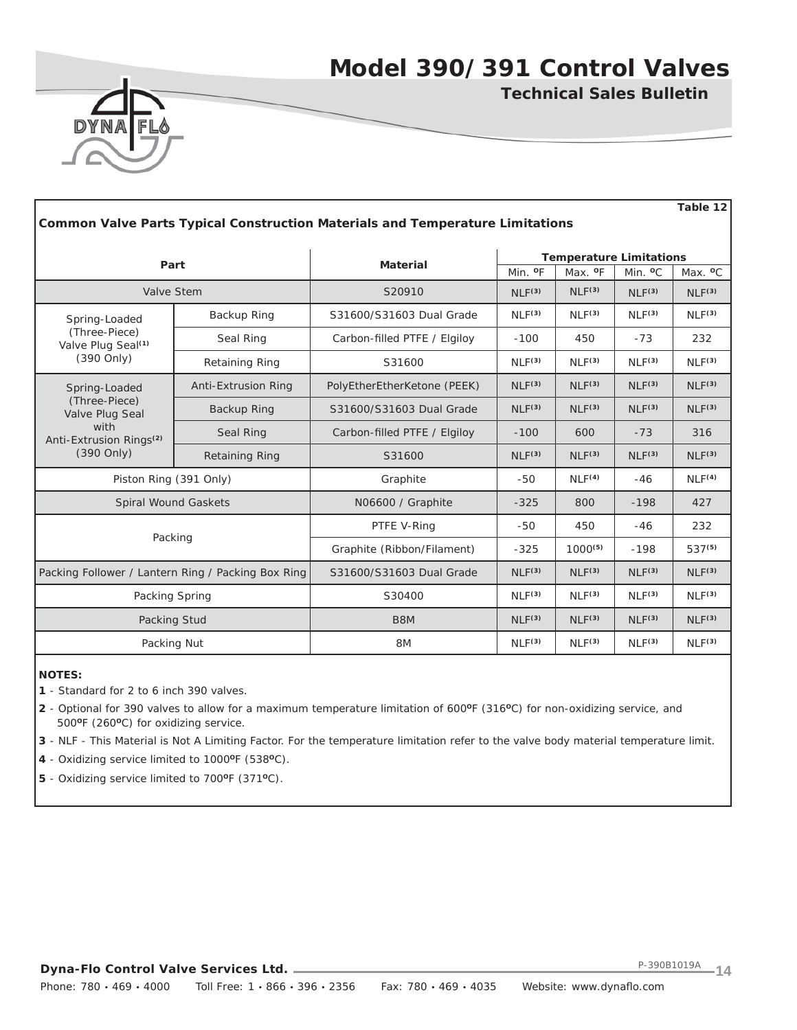**Table 12**



**Technical Sales Bulletin**

| <b>Common Valve Parts Typical Construction Materials and Temperature Limitations</b> |                       |                              |                     |                                |                     |                     |  |
|--------------------------------------------------------------------------------------|-----------------------|------------------------------|---------------------|--------------------------------|---------------------|---------------------|--|
|                                                                                      |                       | <b>Material</b>              |                     | <b>Temperature Limitations</b> |                     |                     |  |
|                                                                                      | Part                  |                              | Min. <sup>o</sup> F | Max. <sup>o</sup> F            | Min. <sup>o</sup> C | Max. <sup>o</sup> C |  |
| Valve Stem                                                                           |                       | S20910                       | NLF <sup>(3)</sup>  | NLF <sup>(3)</sup>             | NLF <sup>(3)</sup>  | NLF <sup>(3)</sup>  |  |
| Spring-Loaded                                                                        | Backup Ring           | S31600/S31603 Dual Grade     | NLF <sup>(3)</sup>  | NLF <sup>(3)</sup>             | NLF <sup>(3)</sup>  | NLF <sup>(3)</sup>  |  |
| (Three-Piece)<br>Valve Plug Seal <sup>(1)</sup>                                      | Seal Ring             | Carbon-filled PTFE / Elgiloy | $-100$              | 450                            | $-73$               | 232                 |  |
| (390 Only)                                                                           | <b>Retaining Ring</b> | S31600                       | NLF <sup>(3)</sup>  | NLF <sup>(3)</sup>             | NLF <sup>(3)</sup>  | NLF <sup>(3)</sup>  |  |
| Spring-Loaded                                                                        | Anti-Extrusion Ring   | PolyEtherEtherKetone (PEEK)  | NLF <sup>(3)</sup>  | NLF <sup>(3)</sup>             | NLF <sup>(3)</sup>  | NLF <sup>(3)</sup>  |  |
| (Three-Piece)<br>Valve Plug Seal                                                     | Backup Ring           | S31600/S31603 Dual Grade     | NLF <sup>(3)</sup>  | NLF <sup>(3)</sup>             | NLF <sup>(3)</sup>  | NLF <sup>(3)</sup>  |  |
| with<br>Anti-Extrusion Rings <sup>(2)</sup>                                          | Seal Ring             | Carbon-filled PTFE / Elgiloy | $-100$              | 600                            | $-73$               | 316                 |  |
| (390 Only)                                                                           | <b>Retaining Ring</b> | S31600                       | NLF <sup>(3)</sup>  | NLF <sup>(3)</sup>             | NLF <sup>(3)</sup>  | NLF <sup>(3)</sup>  |  |
| Piston Ring (391 Only)                                                               |                       | Graphite                     | $-50$               | NLF <sup>(4)</sup>             | $-46$               | NLF <sup>(4)</sup>  |  |
| <b>Spiral Wound Gaskets</b>                                                          |                       | N06600 / Graphite            | $-325$              | 800                            | $-198$              | 427                 |  |
|                                                                                      |                       | PTFE V-Ring                  | -50                 | 450                            | $-46$               | 232                 |  |
| Packing                                                                              |                       | Graphite (Ribbon/Filament)   | $-325$              | $1000^{(5)}$                   | $-198$              | 537 <sup>(5)</sup>  |  |
| Packing Follower / Lantern Ring / Packing Box Ring                                   |                       | S31600/S31603 Dual Grade     | NLF <sup>(3)</sup>  | NLF <sup>(3)</sup>             | NLF <sup>(3)</sup>  | NLF <sup>(3)</sup>  |  |
| Packing Spring                                                                       |                       | S30400                       | NLF <sup>(3)</sup>  | NLF <sup>(3)</sup>             | NLF <sup>(3)</sup>  | NLF <sup>(3)</sup>  |  |
| Packing Stud                                                                         |                       | B8M                          | NLF <sup>(3)</sup>  | NLF <sup>(3)</sup>             | NLF <sup>(3)</sup>  | NLF <sup>(3)</sup>  |  |
| Packing Nut                                                                          |                       | 8M                           | NLF <sup>(3)</sup>  | NLF <sup>(3)</sup>             | NLF <sup>(3)</sup>  | NLF <sup>(3)</sup>  |  |

**NOTES:**

**1** - Standard for 2 to 6 inch 390 valves.

**2** - Optional for 390 valves to allow for a maximum temperature limitation of 600**O**F (316**O**C) for non-oxidizing service, and 500**O**F (260**O**C) for oxidizing service.

**3** - NLF - This Material is Not A Limiting Factor. For the temperature limitation refer to the valve body material temperature limit.

**4** - Oxidizing service limited to 1000**O**F (538**O**C).

**5** - Oxidizing service limited to 700**O**F (371**O**C).

**Dyna-Flo Control Valve Services Ltd.**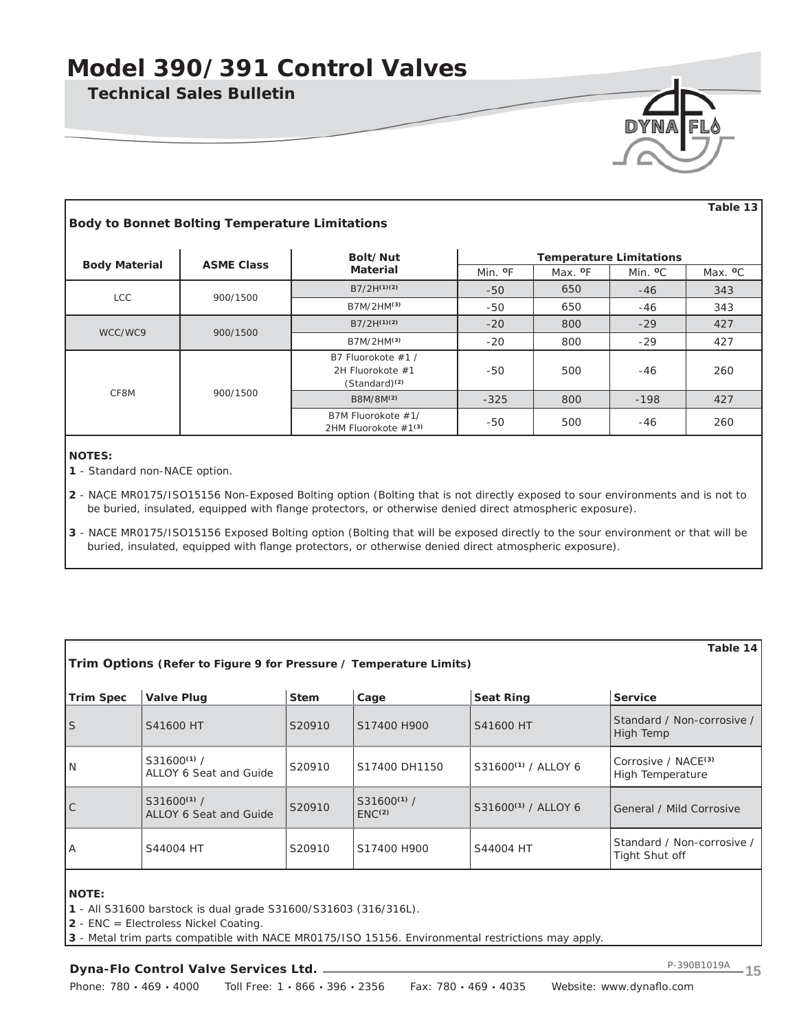**Technical Sales Bulletin**

| DYNA | I FLO |
|------|-------|
|      |       |
|      |       |

| <b>Body to Bonnet Bolting Temperature Limitations</b> |                   |                                                                     |                     |                     |                                | Table 13            |
|-------------------------------------------------------|-------------------|---------------------------------------------------------------------|---------------------|---------------------|--------------------------------|---------------------|
|                                                       |                   | Bolt/Nut                                                            |                     |                     | <b>Temperature Limitations</b> |                     |
| <b>Body Material</b>                                  | <b>ASME Class</b> | Material                                                            | Min. <sup>o</sup> F | Max. <sup>o</sup> F | Min. <sup>o</sup> C            | Max. <sup>o</sup> C |
| LCC                                                   | 900/1500          | $B7/2H^{(1)(2)}$                                                    | $-50$               | 650                 | $-46$                          | 343                 |
|                                                       |                   | B7M/2HM(3)                                                          | -50                 | 650                 | -46                            | 343                 |
|                                                       |                   | $B7/2H^{(1)(2)}$                                                    | $-20$               | 800                 | $-29$                          | 427                 |
| WCC/WC9                                               | 900/1500          | B7M/2HM(3)                                                          | $-20$               | 800                 | $-29$                          | 427                 |
|                                                       |                   | B7 Fluorokote #1 /<br>2H Fluorokote #1<br>(Standard) <sup>(2)</sup> | -50                 | 500                 | $-46$                          | 260                 |
| CF8M                                                  | 900/1500          | B8M/8M <sup>(2)</sup>                                               | $-325$              | 800                 | $-198$                         | 427                 |
|                                                       |                   | B7M Fluorokote #1/<br>2HM Fluorokote $#1(3)$                        | -50                 | 500                 | -46                            | 260                 |

### **NOTES:**

- **1** Standard non-NACE option.
- **2**  NACE MR0175/ISO15156 Non-Exposed Bolting option (Bolting that is not directly exposed to sour environments and is not to be buried, insulated, equipped with flange protectors, or otherwise denied direct atmospheric exposure).
- **3** NACE MR0175/ISO15156 Exposed Bolting option (Bolting that will be exposed directly to the sour environment or that will be buried, insulated, equipped with flange protectors, or otherwise denied direct atmospheric exposure).

|                                           |             |                                       |                                 | Table 14                                                           |
|-------------------------------------------|-------------|---------------------------------------|---------------------------------|--------------------------------------------------------------------|
| <b>Valve Plug</b>                         | <b>Stem</b> | Cage                                  | <b>Seat Ring</b>                | Service                                                            |
| S41600 HT                                 | S20910      | S17400 H900                           | S41600 HT                       | Standard / Non-corrosive /<br>High Temp                            |
| $S31600^{(1)}/$<br>ALLOY 6 Seat and Guide | S20910      | S17400 DH1150                         | S31600 <sup>(1)</sup> / ALLOY 6 | Corrosive / NACE <sup>(3)</sup><br><b>High Temperature</b>         |
| $S31600^{(1)}/$<br>ALLOY 6 Seat and Guide | S20910      | $S31600^{(1)}/$<br>ENC <sup>(2)</sup> | S31600 <sup>(1)</sup> / ALLOY 6 | General / Mild Corrosive                                           |
| S44004 HT                                 | S20910      | S17400 H900                           | S44004 HT                       | Standard / Non-corrosive /<br>Tight Shut off                       |
|                                           |             |                                       |                                 | Trim Options (Refer to Figure 9 for Pressure / Temperature Limits) |

### **NOTE:**

**1** - All S31600 barstock is dual grade S31600/S31603 (316/316L).

**2** - ENC = Electroless Nickel Coating.

**3** - Metal trim parts compatible with NACE MR0175/ISO 15156. Environmental restrictions may apply.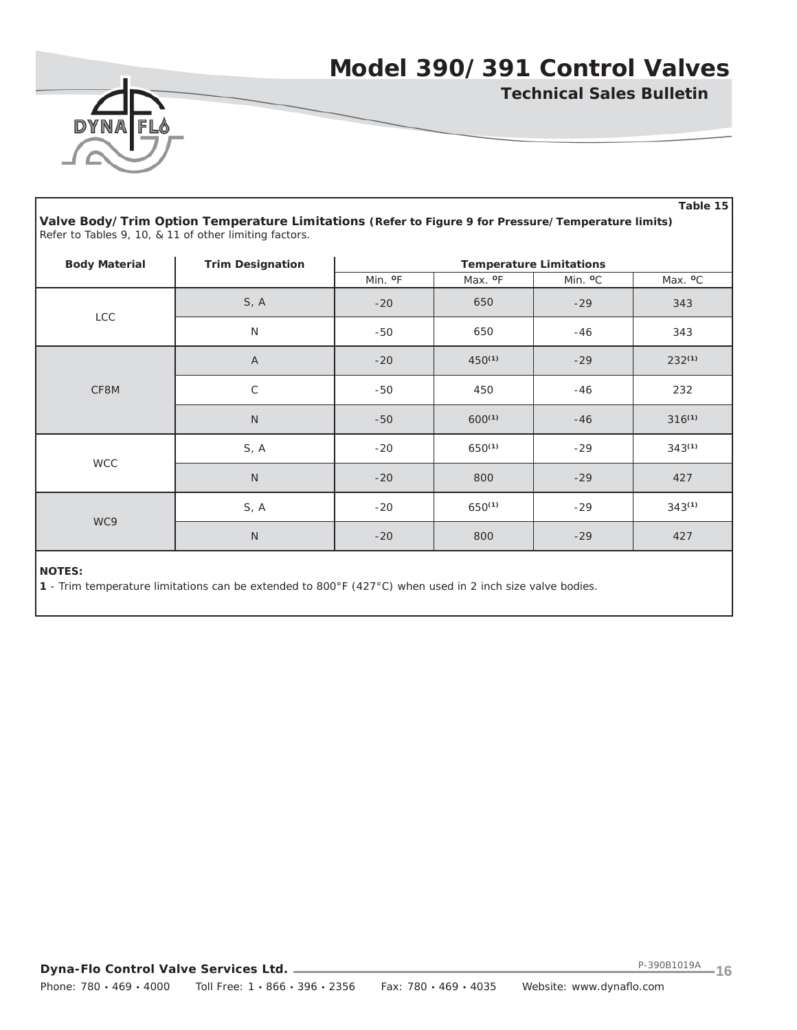

**Technical Sales Bulletin**

|                      |                                                                                                                                                              |                     |                     |                                | Table 15            |
|----------------------|--------------------------------------------------------------------------------------------------------------------------------------------------------------|---------------------|---------------------|--------------------------------|---------------------|
|                      | Valve Body/Trim Option Temperature Limitations (Refer to Figure 9 for Pressure/Temperature limits)<br>Refer to Tables 9, 10, & 11 of other limiting factors. |                     |                     |                                |                     |
| <b>Body Material</b> | <b>Trim Designation</b>                                                                                                                                      |                     |                     | <b>Temperature Limitations</b> |                     |
|                      |                                                                                                                                                              | Min. <sup>o</sup> F | Max. <sup>o</sup> F | Min. <sup>o</sup> C            | Max. <sup>o</sup> C |
| <b>LCC</b>           | S, A                                                                                                                                                         | $-20$               | 650                 | $-29$                          | 343                 |
|                      | N                                                                                                                                                            | -50                 | 650                 | $-46$                          | 343                 |
|                      | $\overline{A}$                                                                                                                                               | $-20$               | $450^{(1)}$         | $-29$                          | $232^{(1)}$         |
| CF8M                 | $\mathsf C$                                                                                                                                                  | $-50$               | 450                 | $-46$                          | 232                 |
|                      | $\mathsf{N}$                                                                                                                                                 | $-50$               | $600^{(1)}$         | $-46$                          | $316^{(1)}$         |
|                      | S, A                                                                                                                                                         | $-20$               | $650^{(1)}$         | $-29$                          | $343^{(1)}$         |
| <b>WCC</b>           | $\mathsf{N}$                                                                                                                                                 | $-20$               | 800                 | $-29$                          | 427                 |
|                      | S, A                                                                                                                                                         | $-20$               | $650^{(1)}$         | $-29$                          | $343^{(1)}$         |
| WC9                  | $\mathsf{N}$                                                                                                                                                 | $-20$               | 800                 | $-29$                          | 427                 |

### **NOTES:**

**1** - Trim temperature limitations can be extended to 800°F (427°C) when used in 2 inch size valve bodies.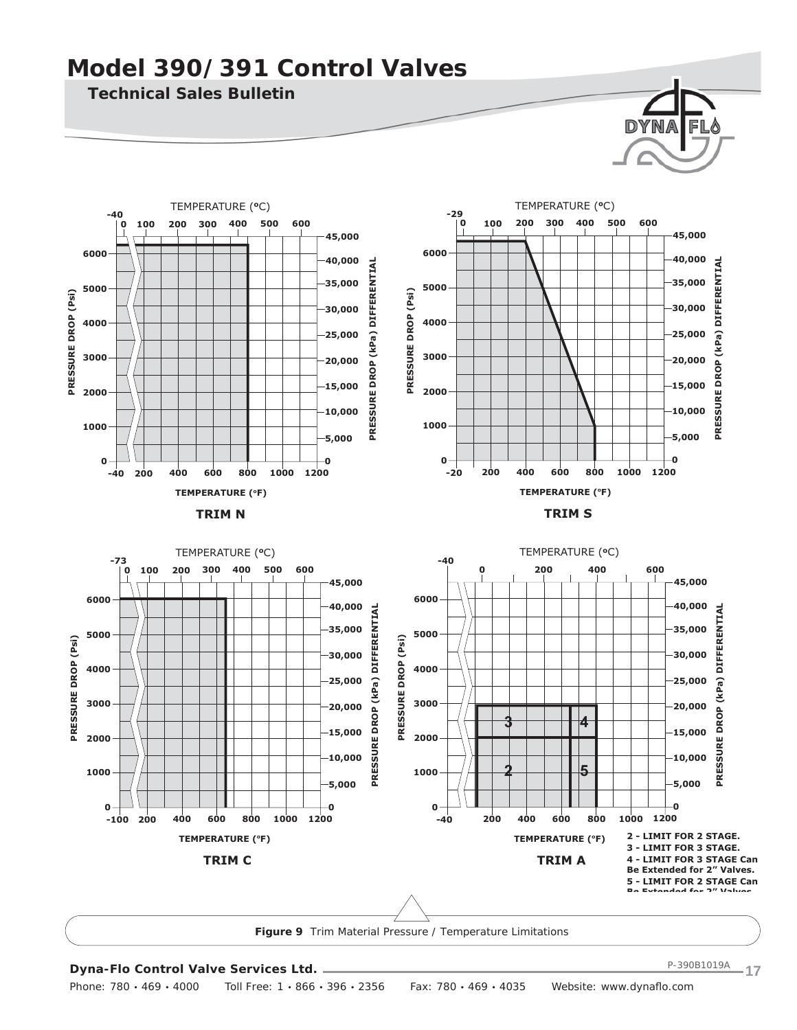**400 600**

**Technical Sales Bulletin**

**200**

**0 100 300 500**

TEMPERATURE (**o**C)

**6000**

**-40**

**5000**

**4000**

**3000**

**PRESSURE DROP (Psi)**

PRESSURE DROP (Psi)

**2000**

**1000**

**0 -40**





**200 400 600 800 1000**

**1200**

**0**

**5,000**

**10,000**

**20,000**

**25,000**

**30,000 35,000**

**15,000**

**40,000**

**45,000**





**Figure 9** *Trim Material Pressure / Temperature Limitations*

### **Dyna-Flo Control Valve Services Ltd.**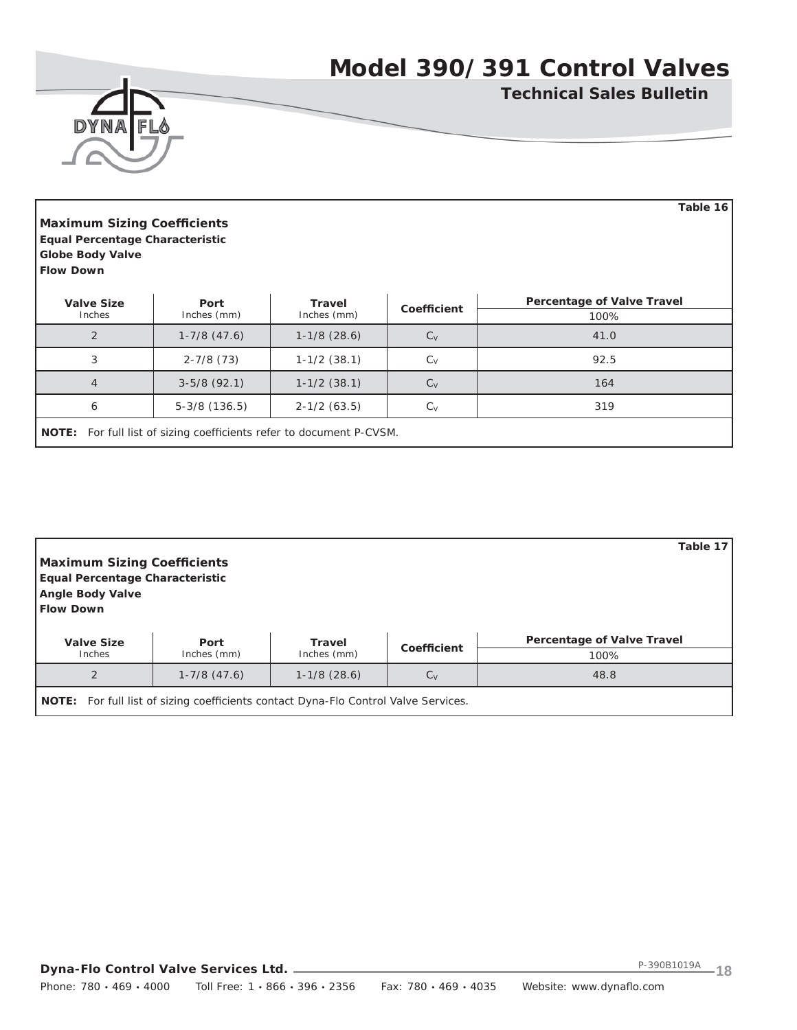

**Technical Sales Bulletin**

**Table 16**

| <b>Maximum Sizing Coefficients</b> |  |
|------------------------------------|--|
| Equal Percentage Characteristic    |  |
| <b>Globe Body Valve</b>            |  |
| <b>Flow Down</b>                   |  |

| <b>Valve Size</b> | Port                                                                        | Travel         | Coefficient | <b>Percentage of Valve Travel</b> |  |  |  |  |  |
|-------------------|-----------------------------------------------------------------------------|----------------|-------------|-----------------------------------|--|--|--|--|--|
| Inches            | Inches (mm)                                                                 | Inches (mm)    |             | 100%                              |  |  |  |  |  |
| $\overline{2}$    | $1-7/8$ $(47.6)$                                                            | $1-1/8(28.6)$  | $C_V$       | 41.0                              |  |  |  |  |  |
| 3                 | $2 - 7/8$ (73)                                                              | $1-1/2$ (38.1) | $C_V$       | 92.5                              |  |  |  |  |  |
| 4                 | $3-5/8(92.1)$                                                               | $1-1/2$ (38.1) | $C_V$       | 164                               |  |  |  |  |  |
| 6                 | $5-3/8$ (136.5)                                                             | $2-1/2(63.5)$  | $C_V$       | 319                               |  |  |  |  |  |
|                   | <b>NOTE:</b> For full list of sizing coefficients refer to document P-CVSM. |                |             |                                   |  |  |  |  |  |

| <b>Maximum Sizing Coefficients</b><br><b>Equal Percentage Characteristic</b><br><b>Angle Body Valve</b><br><b>Flow Down</b> |                                                                                            |                |             | Table 17                          |
|-----------------------------------------------------------------------------------------------------------------------------|--------------------------------------------------------------------------------------------|----------------|-------------|-----------------------------------|
| <b>Valve Size</b>                                                                                                           | Port                                                                                       | <b>Travel</b>  | Coefficient | <b>Percentage of Valve Travel</b> |
| Inches                                                                                                                      | Inches (mm)                                                                                | Inches (mm)    |             | 100%                              |
| $\overline{2}$                                                                                                              | $1-7/8$ $(47.6)$                                                                           | $1-1/8$ (28.6) | $C_V$       | 48.8                              |
|                                                                                                                             | <b>NOTE:</b> For full list of sizing coefficients contact Dyna-Flo Control Valve Services. |                |             |                                   |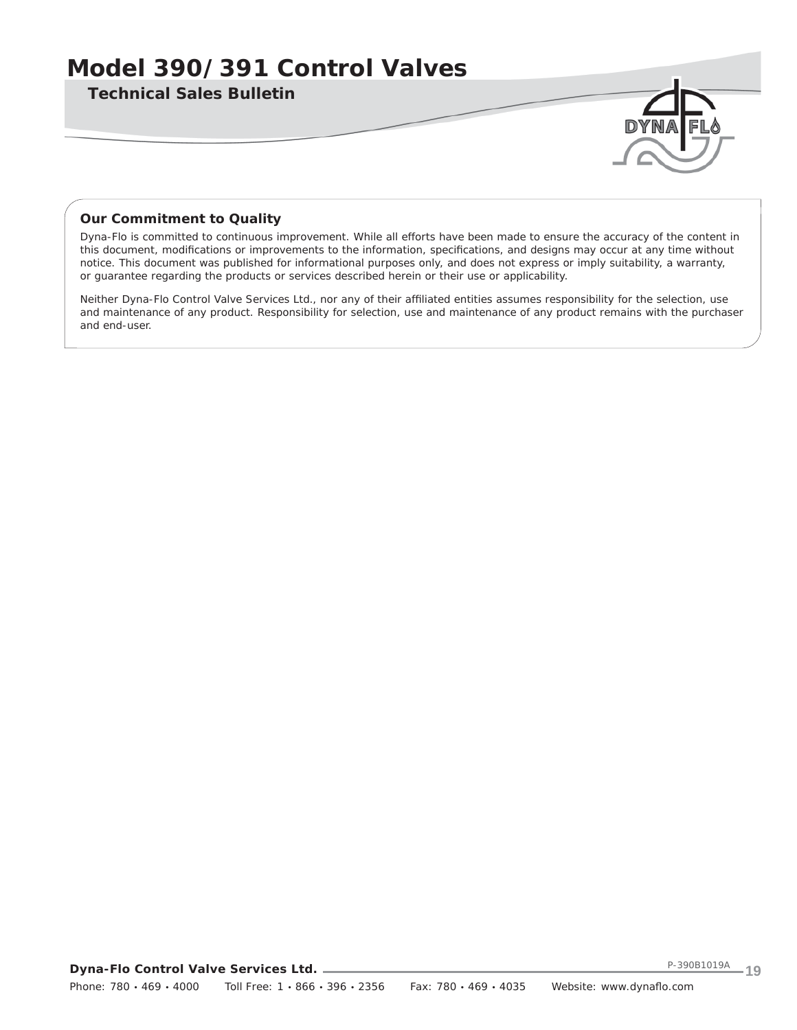**Technical Sales Bulletin**

### *Our Commitment to Quality*

Dyna-Flo is committed to continuous improvement. While all efforts have been made to ensure the accuracy of the content in this document, modifications or improvements to the information, specifications, and designs may occur at any time without notice. This document was published for informational purposes only, and does not express or imply suitability, a warranty, or guarantee regarding the products or services described herein or their use or applicability.

Neither Dyna-Flo Control Valve Services Ltd., nor any of their affiliated entities assumes responsibility for the selection, use and maintenance of any product. Responsibility for selection, use and maintenance of any product remains with the purchaser and end-user.